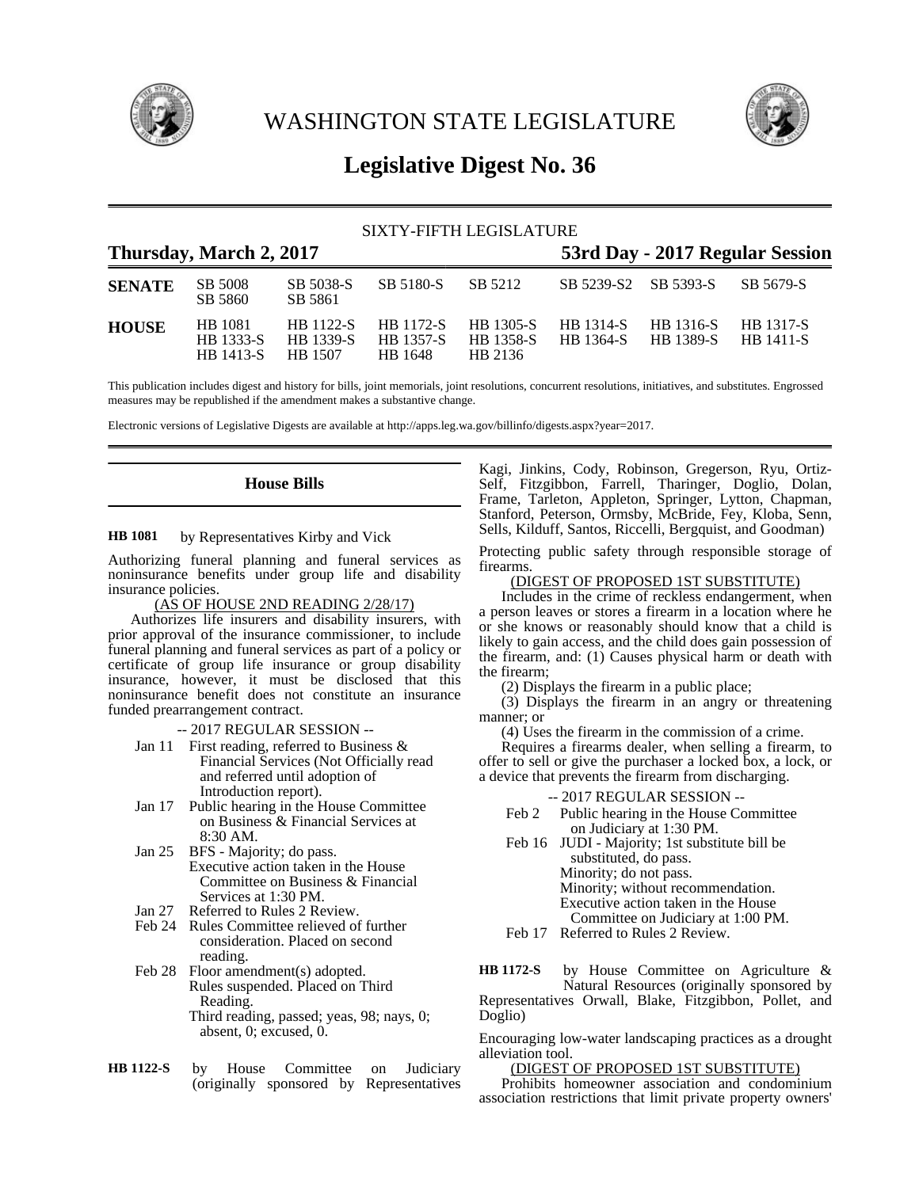

WASHINGTON STATE LEGISLATURE



# **Legislative Digest No. 36**

| SIXTY-FIFTH LEGISLATURE |                                                 |                                   |                                   |                                          |                                      |                        |                               |
|-------------------------|-------------------------------------------------|-----------------------------------|-----------------------------------|------------------------------------------|--------------------------------------|------------------------|-------------------------------|
| Thursday, March 2, 2017 |                                                 |                                   |                                   |                                          | 53rd Day - 2017 Regular Session      |                        |                               |
| <b>SENATE</b>           | SB 5008<br>SB 5860                              | SB 5038-S<br>SB 5861              | SB 5180-S                         | SB 5212                                  | SB 5239-S2 SB 5393-S                 |                        | SB 5679-S                     |
| <b>HOUSE</b>            | <b>HB</b> 1081<br>HB 1333-S<br><b>HB</b> 1413-S | HB 1122-S<br>HB 1339-S<br>HB 1507 | HB 1172-S<br>HB 1357-S<br>HB 1648 | HB 1305-S<br><b>HB</b> 1358-S<br>HB 2136 | <b>HB</b> 1314-S<br><b>HB</b> 1364-S | HB 1316-S<br>HB 1389-S | HB 1317-S<br><b>HB</b> 1411-S |

This publication includes digest and history for bills, joint memorials, joint resolutions, concurrent resolutions, initiatives, and substitutes. Engrossed measures may be republished if the amendment makes a substantive change.

Electronic versions of Legislative Digests are available at http://apps.leg.wa.gov/billinfo/digests.aspx?year=2017.

# **House Bills**

by Representatives Kirby and Vick **HB 1081**

Authorizing funeral planning and funeral services as noninsurance benefits under group life and disability insurance policies.

(AS OF HOUSE 2ND READING 2/28/17)

Authorizes life insurers and disability insurers, with prior approval of the insurance commissioner, to include funeral planning and funeral services as part of a policy or certificate of group life insurance or group disability insurance, however, it must be disclosed that this noninsurance benefit does not constitute an insurance funded prearrangement contract.

- -- 2017 REGULAR SESSION --
- Jan 11 First reading, referred to Business & Financial Services (Not Officially read and referred until adoption of Introduction report).
- Jan 17 Public hearing in the House Committee on Business & Financial Services at 8:30 AM.
- Jan 25 BFS Majority; do pass. Executive action taken in the House Committee on Business & Financial Services at 1:30 PM.
- Jan 27 Referred to Rules 2 Review.<br>Feb 24 Rules Committee relieved of
- Rules Committee relieved of further consideration. Placed on second reading.
- Feb 28 Floor amendment(s) adopted. Rules suspended. Placed on Third Reading. Third reading, passed; yeas, 98; nays, 0;
	- absent, 0; excused, 0.
- by House Committee on Judiciary (originally sponsored by Representatives **HB 1122-S**

Kagi, Jinkins, Cody, Robinson, Gregerson, Ryu, Ortiz-Self, Fitzgibbon, Farrell, Tharinger, Doglio, Dolan, Frame, Tarleton, Appleton, Springer, Lytton, Chapman, Stanford, Peterson, Ormsby, McBride, Fey, Kloba, Senn, Sells, Kilduff, Santos, Riccelli, Bergquist, and Goodman)

Protecting public safety through responsible storage of firearms.

#### (DIGEST OF PROPOSED 1ST SUBSTITUTE)

Includes in the crime of reckless endangerment, when a person leaves or stores a firearm in a location where he or she knows or reasonably should know that a child is likely to gain access, and the child does gain possession of the firearm, and: (1) Causes physical harm or death with the firearm;

(2) Displays the firearm in a public place;

(3) Displays the firearm in an angry or threatening manner; or

(4) Uses the firearm in the commission of a crime.

Requires a firearms dealer, when selling a firearm, to offer to sell or give the purchaser a locked box, a lock, or a device that prevents the firearm from discharging.

-- 2017 REGULAR SESSION --

- Feb 2 Public hearing in the House Committee on Judiciary at 1:30 PM.
- Feb 16 JUDI Majority; 1st substitute bill be substituted, do pass. Minority; do not pass. Minority; without recommendation. Executive action taken in the House Committee on Judiciary at 1:00 PM.
- Feb 17 Referred to Rules 2 Review.

by House Committee on Agriculture & Natural Resources (originally sponsored by Representatives Orwall, Blake, Fitzgibbon, Pollet, and **HB 1172-S**

Doglio)

Encouraging low-water landscaping practices as a drought alleviation tool.

(DIGEST OF PROPOSED 1ST SUBSTITUTE)

Prohibits homeowner association and condominium association restrictions that limit private property owners'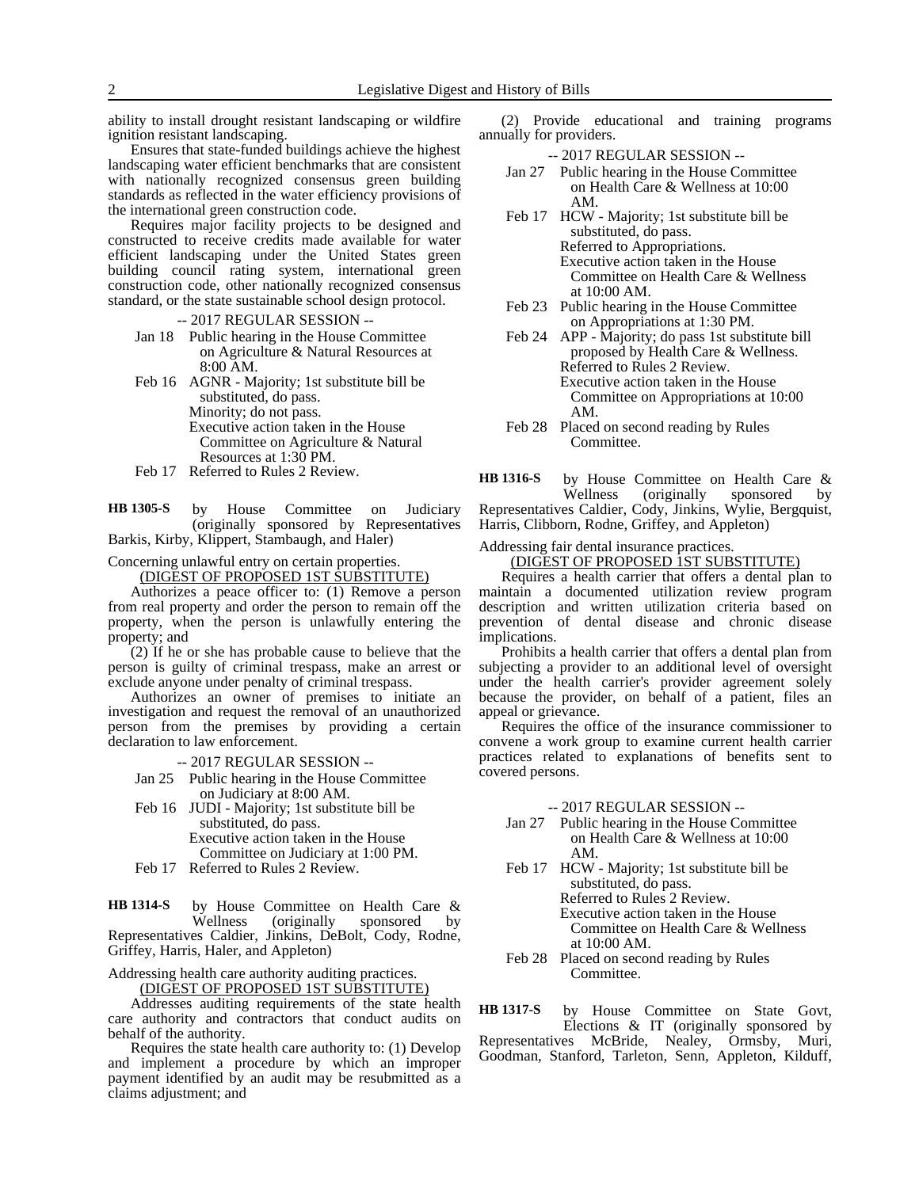ability to install drought resistant landscaping or wildfire ignition resistant landscaping.

Ensures that state-funded buildings achieve the highest landscaping water efficient benchmarks that are consistent with nationally recognized consensus green building standards as reflected in the water efficiency provisions of the international green construction code.

Requires major facility projects to be designed and constructed to receive credits made available for water efficient landscaping under the United States green building council rating system, international green construction code, other nationally recognized consensus standard, or the state sustainable school design protocol.

-- 2017 REGULAR SESSION --

- Jan 18 Public hearing in the House Committee on Agriculture & Natural Resources at 8:00 AM.
- Feb 16 AGNR Majority; 1st substitute bill be substituted, do pass. Minority; do not pass. Executive action taken in the House

Committee on Agriculture & Natural Resources at 1:30 PM.

Feb 17 Referred to Rules 2 Review.

by House Committee on Judiciary (originally sponsored by Representatives Barkis, Kirby, Klippert, Stambaugh, and Haler) **HB 1305-S**

Concerning unlawful entry on certain properties.

(DIGEST OF PROPOSED 1ST SUBSTITUTE)

Authorizes a peace officer to: (1) Remove a person from real property and order the person to remain off the property, when the person is unlawfully entering the property; and

(2) If he or she has probable cause to believe that the person is guilty of criminal trespass, make an arrest or exclude anyone under penalty of criminal trespass.

Authorizes an owner of premises to initiate an investigation and request the removal of an unauthorized person from the premises by providing a certain declaration to law enforcement.

-- 2017 REGULAR SESSION --

- Jan 25 Public hearing in the House Committee on Judiciary at 8:00 AM.
- Feb 16 JUDI Majority; 1st substitute bill be substituted, do pass. Executive action taken in the House Committee on Judiciary at 1:00 PM.
- Feb 17 Referred to Rules 2 Review.

by House Committee on Health Care &<br>Wellness (originally sponsored by (originally sponsored by Representatives Caldier, Jinkins, DeBolt, Cody, Rodne, Griffey, Harris, Haler, and Appleton) **HB 1314-S**

Addressing health care authority auditing practices.

(DIGEST OF PROPOSED 1ST SUBSTITUTE)

Addresses auditing requirements of the state health care authority and contractors that conduct audits on behalf of the authority.

Requires the state health care authority to: (1) Develop and implement a procedure by which an improper payment identified by an audit may be resubmitted as a claims adjustment; and

(2) Provide educational and training programs annually for providers.

- -- 2017 REGULAR SESSION --
- Jan 27 Public hearing in the House Committee on Health Care & Wellness at 10:00 AM.
- Feb 17 HCW Majority; 1st substitute bill be substituted, do pass. Referred to Appropriations. Executive action taken in the House Committee on Health Care & Wellness at 10:00 AM.
- Feb 23 Public hearing in the House Committee on Appropriations at 1:30 PM.
- Feb 24 APP Majority; do pass 1st substitute bill proposed by Health Care & Wellness. Referred to Rules 2 Review. Executive action taken in the House Committee on Appropriations at 10:00 AM.
- Feb 28 Placed on second reading by Rules Committee.

by House Committee on Health Care & Wellness (originally sponsored by (originally sponsored by Representatives Caldier, Cody, Jinkins, Wylie, Bergquist, Harris, Clibborn, Rodne, Griffey, and Appleton) **HB 1316-S**

Addressing fair dental insurance practices.

(DIGEST OF PROPOSED 1ST SUBSTITUTE)

Requires a health carrier that offers a dental plan to maintain a documented utilization review program description and written utilization criteria based on prevention of dental disease and chronic disease implications.

Prohibits a health carrier that offers a dental plan from subjecting a provider to an additional level of oversight under the health carrier's provider agreement solely because the provider, on behalf of a patient, files an appeal or grievance.

Requires the office of the insurance commissioner to convene a work group to examine current health carrier practices related to explanations of benefits sent to covered persons.

#### -- 2017 REGULAR SESSION --

- Jan 27 Public hearing in the House Committee on Health Care & Wellness at 10:00 AM.
- Feb 17 HCW Majority; 1st substitute bill be substituted, do pass. Referred to Rules 2 Review. Executive action taken in the House Committee on Health Care & Wellness at 10:00 AM.
- Feb 28 Placed on second reading by Rules Committee.

by House Committee on State Govt, Elections & IT (originally sponsored by Representatives McBride, Nealey, Ormsby, Muri, Goodman, Stanford, Tarleton, Senn, Appleton, Kilduff, **HB 1317-S**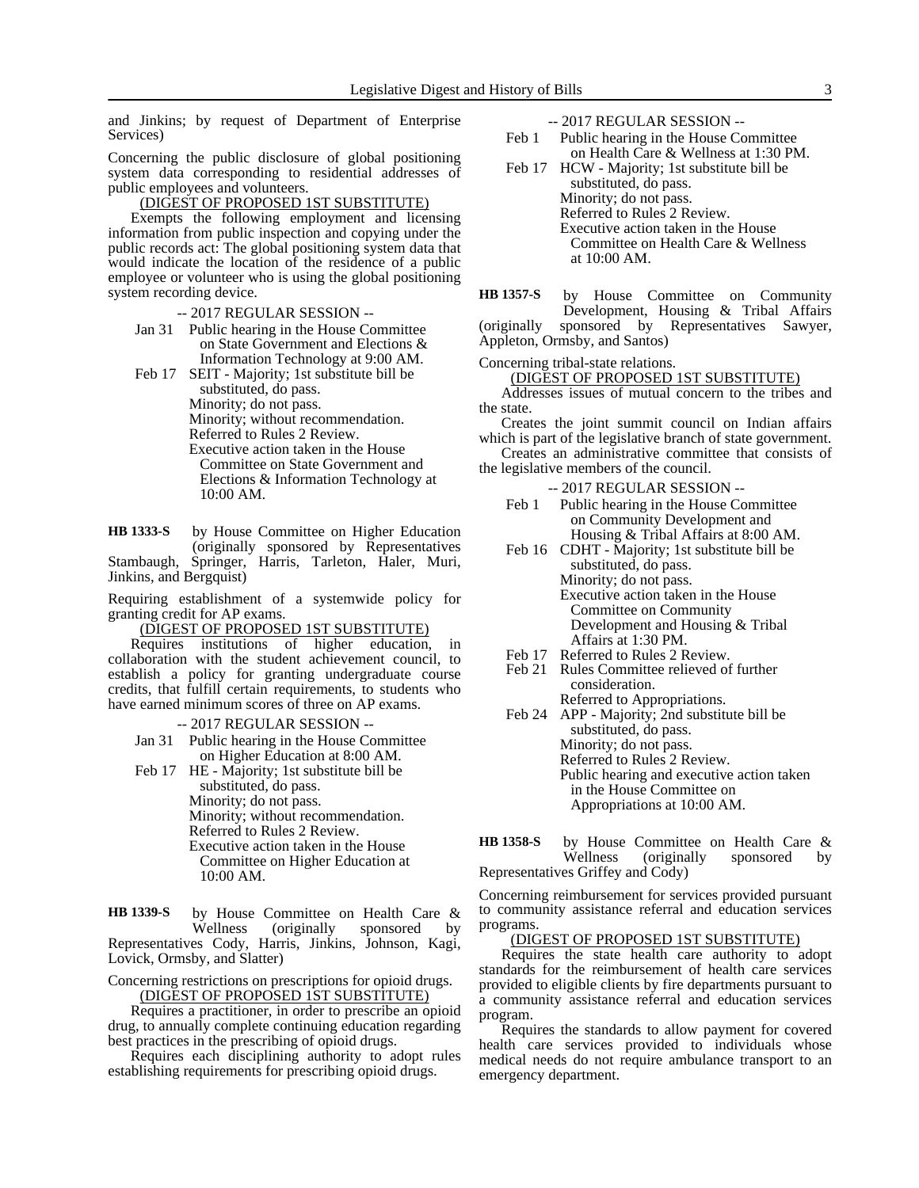and Jinkins; by request of Department of Enterprise Services)

Concerning the public disclosure of global positioning system data corresponding to residential addresses of public employees and volunteers.

#### (DIGEST OF PROPOSED 1ST SUBSTITUTE)

Exempts the following employment and licensing information from public inspection and copying under the public records act: The global positioning system data that would indicate the location of the residence of a public employee or volunteer who is using the global positioning system recording device.

-- 2017 REGULAR SESSION --

Jan 31 Public hearing in the House Committee on State Government and Elections & Information Technology at 9:00 AM.

Feb 17 SEIT - Majority; 1st substitute bill be substituted, do pass. Minority; do not pass. Minority; without recommendation. Referred to Rules 2 Review. Executive action taken in the House Committee on State Government and Elections & Information Technology at 10:00 AM.

by House Committee on Higher Education (originally sponsored by Representatives Stambaugh, Springer, Harris, Tarleton, Haler, Muri, Jinkins, and Bergquist) **HB 1333-S**

Requiring establishment of a systemwide policy for granting credit for AP exams.

(DIGEST OF PROPOSED 1ST SUBSTITUTE)

Requires institutions of higher education, in collaboration with the student achievement council, to establish a policy for granting undergraduate course credits, that fulfill certain requirements, to students who have earned minimum scores of three on AP exams.

-- 2017 REGULAR SESSION --

- Jan 31 Public hearing in the House Committee on Higher Education at 8:00 AM.
- Feb 17 HE Majority; 1st substitute bill be substituted, do pass. Minority; do not pass. Minority; without recommendation. Referred to Rules 2 Review. Executive action taken in the House Committee on Higher Education at 10:00 AM.

by House Committee on Health Care & Wellness (originally sponsored by Representatives Cody, Harris, Jinkins, Johnson, Kagi, Lovick, Ormsby, and Slatter) **HB 1339-S**

Concerning restrictions on prescriptions for opioid drugs. (DIGEST OF PROPOSED 1ST SUBSTITUTE)

Requires a practitioner, in order to prescribe an opioid drug, to annually complete continuing education regarding best practices in the prescribing of opioid drugs.

Requires each disciplining authority to adopt rules establishing requirements for prescribing opioid drugs.

-- 2017 REGULAR SESSION --

- Feb 1 Public hearing in the House Committee on Health Care & Wellness at 1:30 PM.
- Feb 17 HCW Majority; 1st substitute bill be substituted, do pass. Minority; do not pass.

Referred to Rules 2 Review. Executive action taken in the House Committee on Health Care & Wellness at 10:00 AM.

by House Committee on Community Development, Housing & Tribal Affairs<br>sponsored by Representatives Sawyer, (originally sponsored by Representatives Sawyer, Appleton, Ormsby, and Santos) **HB 1357-S**

Concerning tribal-state relations.

(DIGEST OF PROPOSED 1ST SUBSTITUTE)

Addresses issues of mutual concern to the tribes and the state.

Creates the joint summit council on Indian affairs which is part of the legislative branch of state government.

Creates an administrative committee that consists of the legislative members of the council.

-- 2017 REGULAR SESSION --

- Feb 1 Public hearing in the House Committee on Community Development and Housing & Tribal Affairs at 8:00 AM.
- Feb 16 CDHT Majority; 1st substitute bill be substituted, do pass. Minority; do not pass. Executive action taken in the House Committee on Community Development and Housing & Tribal
- Affairs at 1:30 PM. Feb 17 Referred to Rules 2 Review.
- Feb 21 Rules Committee relieved of further consideration.
- Referred to Appropriations. Feb 24 APP - Majority; 2nd substitute bill be substituted, do pass. Minority; do not pass. Referred to Rules 2 Review. Public hearing and executive action taken in the House Committee on Appropriations at 10:00 AM.

by House Committee on Health Care & Wellness (originally sponsored by Representatives Griffey and Cody) **HB 1358-S**

Concerning reimbursement for services provided pursuant to community assistance referral and education services programs.

### (DIGEST OF PROPOSED 1ST SUBSTITUTE)

Requires the state health care authority to adopt standards for the reimbursement of health care services provided to eligible clients by fire departments pursuant to a community assistance referral and education services program.

Requires the standards to allow payment for covered health care services provided to individuals whose medical needs do not require ambulance transport to an emergency department.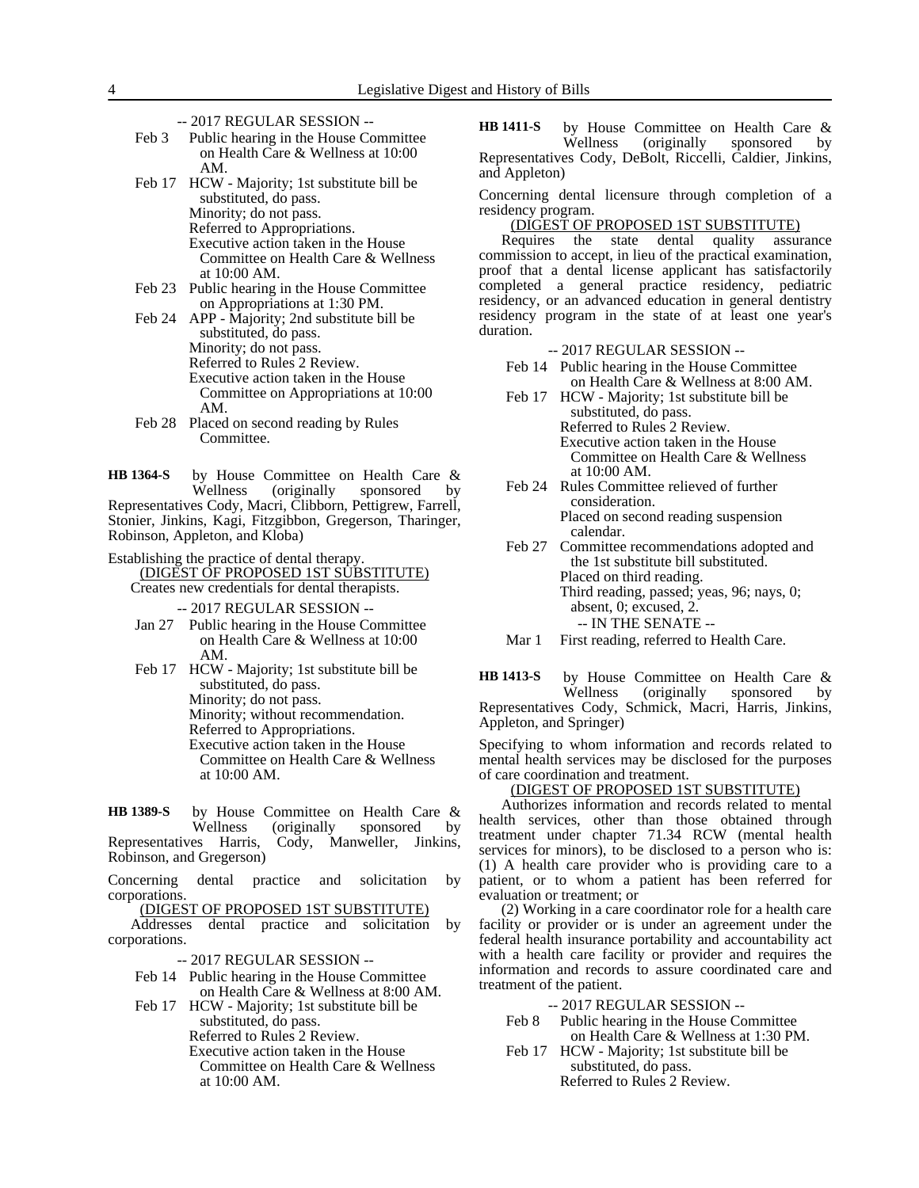- -- 2017 REGULAR SESSION --
- Feb 3 Public hearing in the House Committee on Health Care & Wellness at 10:00 AM.
- Feb 17 HCW Majority; 1st substitute bill be substituted, do pass. Minority; do not pass. Referred to Appropriations. Executive action taken in the House Committee on Health Care & Wellness at 10:00 AM.
- Feb 23 Public hearing in the House Committee on Appropriations at 1:30 PM.
- Feb 24 APP Majority; 2nd substitute bill be substituted, do pass. Minority; do not pass. Referred to Rules 2 Review. Executive action taken in the House Committee on Appropriations at 10:00 AM.
- Feb 28 Placed on second reading by Rules Committee.

by House Committee on Health Care & Wellness (originally sponsored by Representatives Cody, Macri, Clibborn, Pettigrew, Farrell, Stonier, Jinkins, Kagi, Fitzgibbon, Gregerson, Tharinger, Robinson, Appleton, and Kloba) **HB 1364-S**

Establishing the practice of dental therapy. (DIGEST OF PROPOSED 1ST SUBSTITUTE)

Creates new credentials for dental therapists.

- -- 2017 REGULAR SESSION --
- Jan 27 Public hearing in the House Committee on Health Care & Wellness at 10:00 AM.
- Feb 17 HCW Majority; 1st substitute bill be substituted, do pass. Minority; do not pass. Minority; without recommendation. Referred to Appropriations. Executive action taken in the House Committee on Health Care & Wellness at 10:00 AM.

by House Committee on Health Care &<br>Wellness (originally sponsored by (originally sponsored by Representatives Harris, Cody, Manweller, Jinkins, Robinson, and Gregerson) **HB 1389-S**

Concerning dental practice and solicitation by corporations.

(DIGEST OF PROPOSED 1ST SUBSTITUTE)

Addresses dental practice and solicitation by corporations.

- -- 2017 REGULAR SESSION --
- Feb 14 Public hearing in the House Committee on Health Care & Wellness at 8:00 AM.
- Feb 17 HCW Majority; 1st substitute bill be substituted, do pass.
	- Referred to Rules 2 Review.
	- Executive action taken in the House
	- Committee on Health Care & Wellness at 10:00 AM.

by House Committee on Health Care & Wellness (originally sponsored by Representatives Cody, DeBolt, Riccelli, Caldier, Jinkins, and Appleton) **HB 1411-S**

Concerning dental licensure through completion of a residency program.

#### (DIGEST OF PROPOSED 1ST SUBSTITUTE)

Requires the state dental quality assurance commission to accept, in lieu of the practical examination, proof that a dental license applicant has satisfactorily completed a general practice residency, pediatric residency, or an advanced education in general dentistry residency program in the state of at least one year's duration.

-- 2017 REGULAR SESSION --

- Feb 14 Public hearing in the House Committee on Health Care & Wellness at 8:00 AM.
- Feb 17 HCW Majority; 1st substitute bill be substituted, do pass. Referred to Rules 2 Review. Executive action taken in the House Committee on Health Care & Wellness at 10:00 AM.
- Feb 24 Rules Committee relieved of further consideration. Placed on second reading suspension calendar.
- Feb 27 Committee recommendations adopted and the 1st substitute bill substituted. Placed on third reading. Third reading, passed; yeas, 96; nays, 0; absent, 0; excused, 2. -- IN THE SENATE --
- Mar 1 First reading, referred to Health Care.
- by House Committee on Health Care &<br>Wellness (originally sponsored by (originally sponsored by Representatives Cody, Schmick, Macri, Harris, Jinkins, Appleton, and Springer) **HB 1413-S**

Specifying to whom information and records related to mental health services may be disclosed for the purposes of care coordination and treatment.

# (DIGEST OF PROPOSED 1ST SUBSTITUTE)

Authorizes information and records related to mental health services, other than those obtained through treatment under chapter 71.34 RCW (mental health services for minors), to be disclosed to a person who is: (1) A health care provider who is providing care to a patient, or to whom a patient has been referred for evaluation or treatment; or

(2) Working in a care coordinator role for a health care facility or provider or is under an agreement under the federal health insurance portability and accountability act with a health care facility or provider and requires the information and records to assure coordinated care and treatment of the patient.

-- 2017 REGULAR SESSION --

- Feb 8 Public hearing in the House Committee on Health Care & Wellness at 1:30 PM.
- Feb 17 HCW Majority; 1st substitute bill be substituted, do pass. Referred to Rules 2 Review.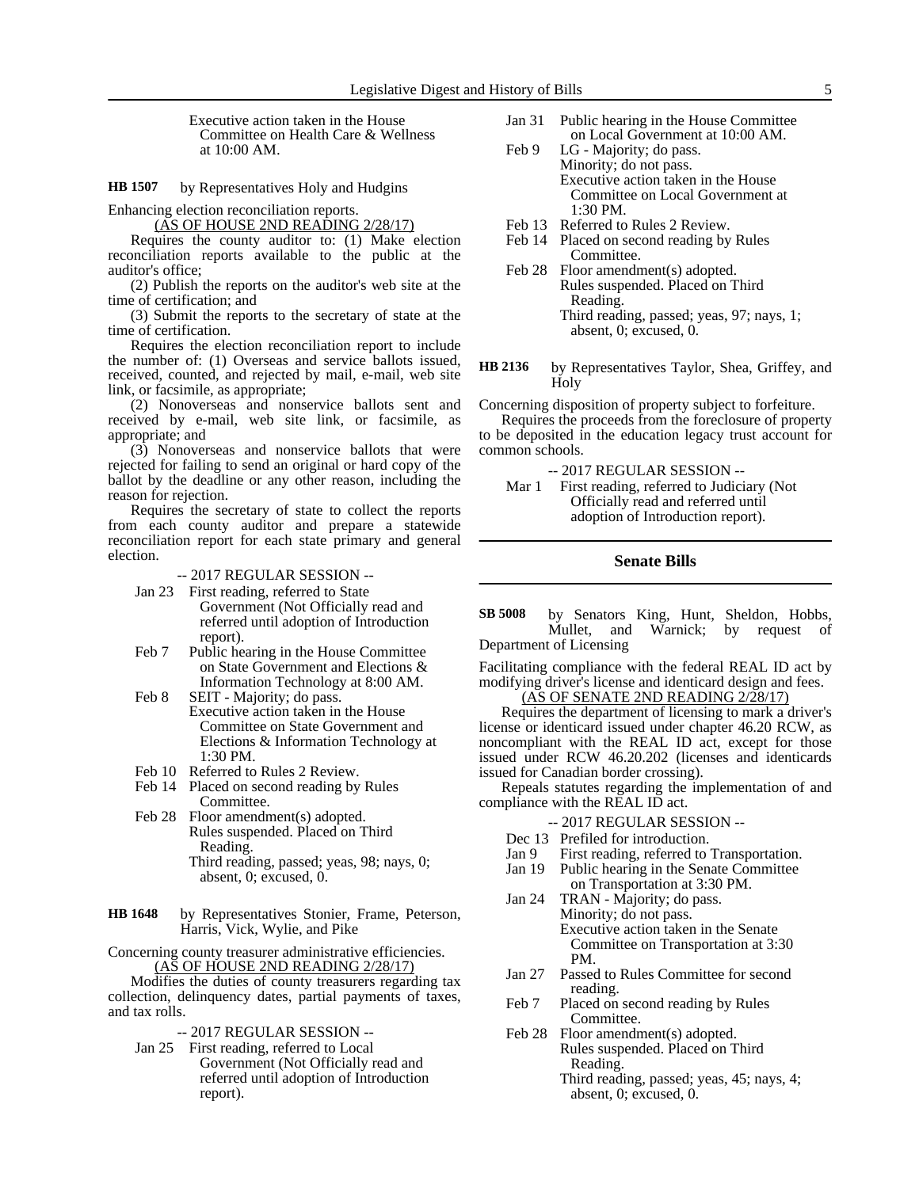Executive action taken in the House Committee on Health Care & Wellness at 10:00 AM.

by Representatives Holy and Hudgins **HB 1507**

Enhancing election reconciliation reports.

(AS OF HOUSE 2ND READING 2/28/17)

Requires the county auditor to: (1) Make election reconciliation reports available to the public at the auditor's office;

(2) Publish the reports on the auditor's web site at the time of certification; and

(3) Submit the reports to the secretary of state at the time of certification.

Requires the election reconciliation report to include the number of: (1) Overseas and service ballots issued, received, counted, and rejected by mail, e-mail, web site link, or facsimile, as appropriate;

(2) Nonoverseas and nonservice ballots sent and received by e-mail, web site link, or facsimile, as appropriate; and

(3) Nonoverseas and nonservice ballots that were rejected for failing to send an original or hard copy of the ballot by the deadline or any other reason, including the reason for rejection.

Requires the secretary of state to collect the reports from each county auditor and prepare a statewide reconciliation report for each state primary and general election.

-- 2017 REGULAR SESSION --

- Jan 23 First reading, referred to State Government (Not Officially read and referred until adoption of Introduction report).
- Feb 7 Public hearing in the House Committee on State Government and Elections & Information Technology at 8:00 AM.
- Feb 8 SEIT Majority; do pass. Executive action taken in the House Committee on State Government and Elections & Information Technology at 1:30 PM.
- Feb 10 Referred to Rules 2 Review.
- Feb 14 Placed on second reading by Rules Committee.
- Feb 28 Floor amendment(s) adopted. Rules suspended. Placed on Third Reading. Third reading, passed; yeas, 98; nays, 0;

absent, 0; excused, 0.

by Representatives Stonier, Frame, Peterson, Harris, Vick, Wylie, and Pike **HB 1648**

Concerning county treasurer administrative efficiencies. (AS OF HOUSE 2ND READING 2/28/17)

Modifies the duties of county treasurers regarding tax collection, delinquency dates, partial payments of taxes, and tax rolls.

-- 2017 REGULAR SESSION --

Jan 25 First reading, referred to Local Government (Not Officially read and referred until adoption of Introduction report).

- Jan 31 Public hearing in the House Committee on Local Government at 10:00 AM.
- Feb 9 LG Majority; do pass. Minority; do not pass. Executive action taken in the House Committee on Local Government at 1:30 PM.
- Feb 13 Referred to Rules 2 Review.
- Feb 14 Placed on second reading by Rules Committee.
- Feb 28 Floor amendment(s) adopted. Rules suspended. Placed on Third Reading. Third reading, passed; yeas, 97; nays, 1; absent, 0; excused, 0.
- by Representatives Taylor, Shea, Griffey, and Holy **HB 2136**

Concerning disposition of property subject to forfeiture.

Requires the proceeds from the foreclosure of property to be deposited in the education legacy trust account for common schools.

-- 2017 REGULAR SESSION --

Mar 1 First reading, referred to Judiciary (Not Officially read and referred until adoption of Introduction report).

# **Senate Bills**

by Senators King, Hunt, Sheldon, Hobbs, Mullet, and Warnick; by request of Department of Licensing **SB 5008**

Facilitating compliance with the federal REAL ID act by modifying driver's license and identicard design and fees.

(AS OF SENATE 2ND READING 2/28/17)

Requires the department of licensing to mark a driver's license or identicard issued under chapter 46.20 RCW, as noncompliant with the REAL ID act, except for those issued under RCW 46.20.202 (licenses and identicards issued for Canadian border crossing).

Repeals statutes regarding the implementation of and compliance with the REAL ID act.

-- 2017 REGULAR SESSION --

- Dec 13 Prefiled for introduction.
- Jan 9 First reading, referred to Transportation.<br>Jan 19 Public hearing in the Senate Committee
- Public hearing in the Senate Committee on Transportation at 3:30 PM.
- Jan 24 TRAN Majority; do pass. Minority; do not pass. Executive action taken in the Senate Committee on Transportation at 3:30 PM.
- Jan 27 Passed to Rules Committee for second reading.
- Feb 7 Placed on second reading by Rules Committee.
- Feb 28 Floor amendment(s) adopted. Rules suspended. Placed on Third Reading.
	- Third reading, passed; yeas, 45; nays, 4; absent, 0; excused, 0.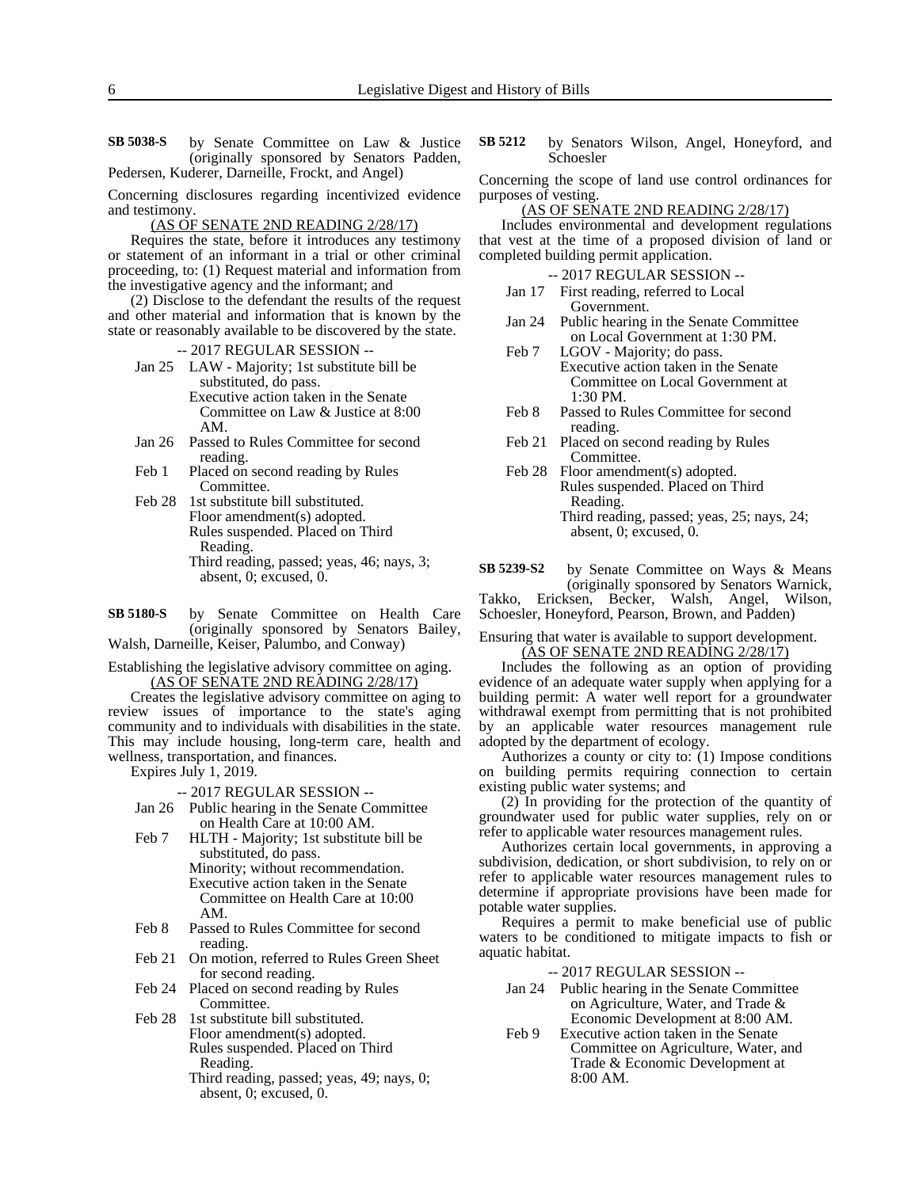by Senate Committee on Law & Justice (originally sponsored by Senators Padden, Pedersen, Kuderer, Darneille, Frockt, and Angel) **SB 5038-S**

Concerning disclosures regarding incentivized evidence and testimony.

(AS OF SENATE 2ND READING 2/28/17)

Requires the state, before it introduces any testimony or statement of an informant in a trial or other criminal proceeding, to: (1) Request material and information from the investigative agency and the informant; and

(2) Disclose to the defendant the results of the request and other material and information that is known by the state or reasonably available to be discovered by the state.

-- 2017 REGULAR SESSION --

- Jan 25 LAW Majority; 1st substitute bill be substituted, do pass. Executive action taken in the Senate Committee on Law & Justice at 8:00 AM.
- Jan 26 Passed to Rules Committee for second reading.
- Feb 1 Placed on second reading by Rules Committee.
- Feb 28 1st substitute bill substituted. Floor amendment(s) adopted. Rules suspended. Placed on Third Reading. Third reading, passed; yeas, 46; nays, 3; absent, 0; excused, 0.

by Senate Committee on Health Care (originally sponsored by Senators Bailey, **SB 5180-S**

Walsh, Darneille, Keiser, Palumbo, and Conway)

Establishing the legislative advisory committee on aging. (AS OF SENATE 2ND READING 2/28/17)

Creates the legislative advisory committee on aging to review issues of importance to the state's aging community and to individuals with disabilities in the state. This may include housing, long-term care, health and wellness, transportation, and finances.

Expires July 1, 2019.

-- 2017 REGULAR SESSION --

Jan 26 Public hearing in the Senate Committee on Health Care at 10:00 AM.

- Feb 7 HLTH Majority; 1st substitute bill be substituted, do pass. Minority; without recommendation. Executive action taken in the Senate Committee on Health Care at 10:00 AM.
- Feb 8 Passed to Rules Committee for second reading.
- Feb 21 On motion, referred to Rules Green Sheet for second reading.
- Feb 24 Placed on second reading by Rules Committee.
- Feb 28 1st substitute bill substituted. Floor amendment(s) adopted. Rules suspended. Placed on Third
	- Reading.
	- Third reading, passed; yeas, 49; nays, 0; absent, 0; excused, 0.

by Senators Wilson, Angel, Honeyford, and Schoesler **SB 5212**

Concerning the scope of land use control ordinances for purposes of vesting.

### (AS OF SENATE 2ND READING 2/28/17)

Includes environmental and development regulations that vest at the time of a proposed division of land or completed building permit application.

- -- 2017 REGULAR SESSION --
- Jan 17 First reading, referred to Local Government.
- Jan 24 Public hearing in the Senate Committee on Local Government at 1:30 PM.
- Feb 7 LGOV Majority; do pass. Executive action taken in the Senate Committee on Local Government at 1:30 PM.
- Feb 8 Passed to Rules Committee for second reading.
- Feb 21 Placed on second reading by Rules Committee.
- Feb 28 Floor amendment(s) adopted. Rules suspended. Placed on Third Reading. Third reading, passed; yeas, 25; nays, 24; absent, 0; excused, 0.

by Senate Committee on Ways & Means (originally sponsored by Senators Warnick, Takko, Ericksen, Becker, Walsh, Angel, Wilson, **SB 5239-S2**

Schoesler, Honeyford, Pearson, Brown, and Padden) Ensuring that water is available to support development.

# (AS OF SENATE 2ND READING 2/28/17)

Includes the following as an option of providing evidence of an adequate water supply when applying for a building permit: A water well report for a groundwater withdrawal exempt from permitting that is not prohibited by an applicable water resources management rule adopted by the department of ecology.

Authorizes a county or city to: (1) Impose conditions on building permits requiring connection to certain existing public water systems; and

(2) In providing for the protection of the quantity of groundwater used for public water supplies, rely on or refer to applicable water resources management rules.

Authorizes certain local governments, in approving a subdivision, dedication, or short subdivision, to rely on or refer to applicable water resources management rules to determine if appropriate provisions have been made for potable water supplies.

Requires a permit to make beneficial use of public waters to be conditioned to mitigate impacts to fish or aquatic habitat.

-- 2017 REGULAR SESSION --

- Jan 24 Public hearing in the Senate Committee on Agriculture, Water, and Trade & Economic Development at 8:00 AM.
- Feb 9 Executive action taken in the Senate Committee on Agriculture, Water, and Trade & Economic Development at 8:00 AM.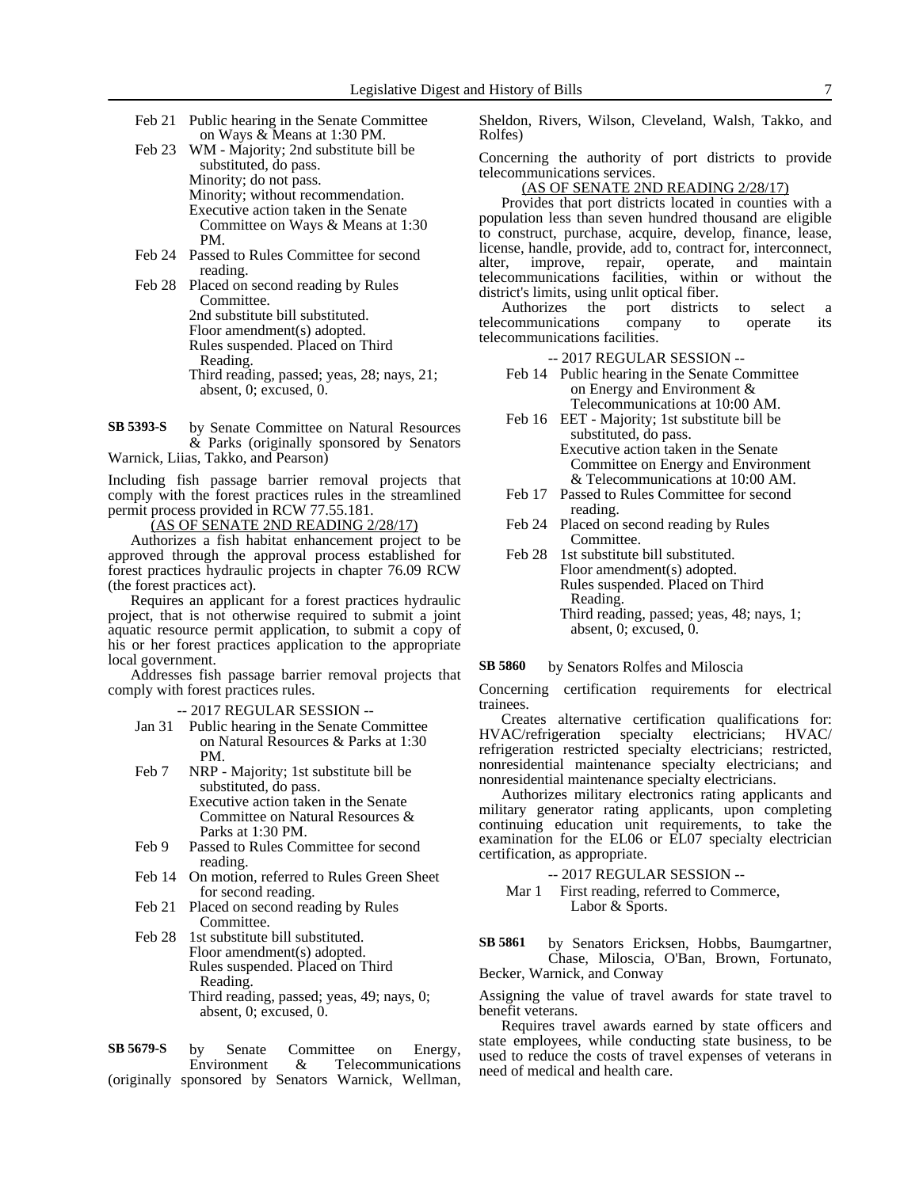- Feb 21 Public hearing in the Senate Committee on Ways & Means at 1:30 PM.
- Feb 23 WM Majority; 2nd substitute bill be substituted, do pass. Minority; do not pass. Minority; without recommendation. Executive action taken in the Senate Committee on Ways & Means at 1:30 PM.
- Feb 24 Passed to Rules Committee for second reading.
- Feb 28 Placed on second reading by Rules Committee. 2nd substitute bill substituted. Floor amendment(s) adopted. Rules suspended. Placed on Third Reading. Third reading, passed; yeas, 28; nays, 21; absent, 0; excused, 0.

by Senate Committee on Natural Resources & Parks (originally sponsored by Senators Warnick, Liias, Takko, and Pearson) **SB 5393-S**

Including fish passage barrier removal projects that comply with the forest practices rules in the streamlined permit process provided in RCW 77.55.181.

(AS OF SENATE 2ND READING 2/28/17)

Authorizes a fish habitat enhancement project to be approved through the approval process established for forest practices hydraulic projects in chapter 76.09 RCW (the forest practices act).

Requires an applicant for a forest practices hydraulic project, that is not otherwise required to submit a joint aquatic resource permit application, to submit a copy of his or her forest practices application to the appropriate local government.

Addresses fish passage barrier removal projects that comply with forest practices rules.

-- 2017 REGULAR SESSION --

- Jan 31 Public hearing in the Senate Committee on Natural Resources & Parks at 1:30 PM.
- Feb 7 NRP Majority; 1st substitute bill be substituted, do pass. Executive action taken in the Senate Committee on Natural Resources &

Parks at 1:30 PM.

- Feb 9 Passed to Rules Committee for second reading.
- Feb 14 On motion, referred to Rules Green Sheet for second reading.
- Feb 21 Placed on second reading by Rules Committee.
- Feb 28 1st substitute bill substituted. Floor amendment(s) adopted. Rules suspended. Placed on Third Reading. Third reading, passed; yeas, 49; nays, 0; absent, 0; excused, 0.

by Senate Committee on Energy, Environment & Telecommunications (originally sponsored by Senators Warnick, Wellman, **SB 5679-S**

Sheldon, Rivers, Wilson, Cleveland, Walsh, Takko, and Rolfes)

Concerning the authority of port districts to provide telecommunications services.

(AS OF SENATE 2ND READING 2/28/17)

Provides that port districts located in counties with a population less than seven hundred thousand are eligible to construct, purchase, acquire, develop, finance, lease, license, handle, provide, add to, contract for, interconnect, alter, improve, repair, operate, and maintain telecommunications facilities, within or without the district's limits, using unlit optical fiber.<br>Authorizes the port districts

Authorizes the port districts to select a telecommunications company to operate its telecommunications facilities.

-- 2017 REGULAR SESSION --

- Feb 14 Public hearing in the Senate Committee on Energy and Environment & Telecommunications at 10:00 AM.
- Feb 16 EET Majority; 1st substitute bill be substituted, do pass. Executive action taken in the Senate Committee on Energy and Environment & Telecommunications at 10:00 AM.
- Feb 17 Passed to Rules Committee for second reading.
- Feb 24 Placed on second reading by Rules Committee.
- Feb 28 1st substitute bill substituted. Floor amendment(s) adopted. Rules suspended. Placed on Third Reading. Third reading, passed; yeas, 48; nays, 1; absent, 0; excused, 0.

by Senators Rolfes and Miloscia **SB 5860**

Concerning certification requirements for electrical trainees.

Creates alternative certification qualifications for: HVAC/refrigeration specialty electricians; HVAC/ refrigeration restricted specialty electricians; restricted, nonresidential maintenance specialty electricians; and nonresidential maintenance specialty electricians.

Authorizes military electronics rating applicants and military generator rating applicants, upon completing continuing education unit requirements, to take the examination for the EL06 or EL07 specialty electrician certification, as appropriate.

- -- 2017 REGULAR SESSION --
- Mar 1 First reading, referred to Commerce, Labor & Sports.

by Senators Ericksen, Hobbs, Baumgartner, Chase, Miloscia, O'Ban, Brown, Fortunato, Becker, Warnick, and Conway **SB 5861**

Assigning the value of travel awards for state travel to benefit veterans.

Requires travel awards earned by state officers and state employees, while conducting state business, to be used to reduce the costs of travel expenses of veterans in need of medical and health care.